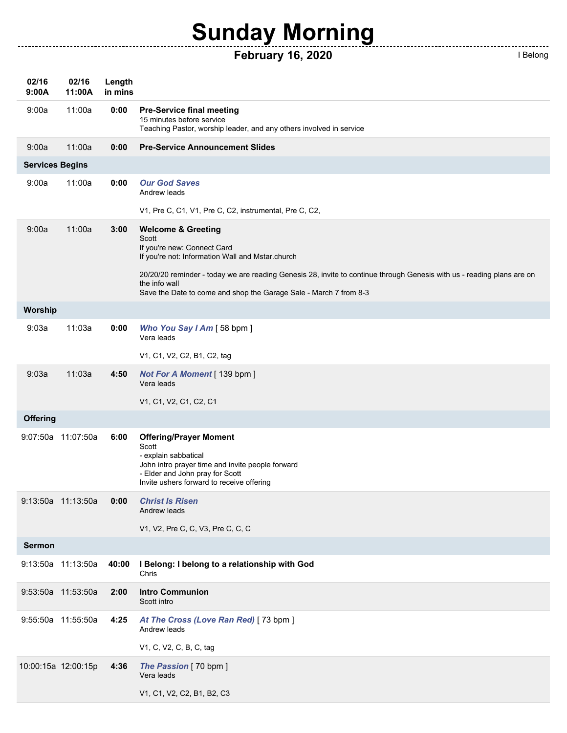## **Sunday Morning**

## **February 16, 2020 I Belong**

| Belong |  |
|--------|--|

\_\_\_\_\_\_\_\_\_\_\_\_\_\_\_\_\_\_\_\_\_\_

| 02/16<br>9:00A         | 02/16<br>11:00A     | Length<br>in mins |                                                                                                                                                                                                              |
|------------------------|---------------------|-------------------|--------------------------------------------------------------------------------------------------------------------------------------------------------------------------------------------------------------|
| 9:00a                  | 11:00a              | 0:00              | <b>Pre-Service final meeting</b><br>15 minutes before service<br>Teaching Pastor, worship leader, and any others involved in service                                                                         |
| 9:00a                  | 11:00a              | 0:00              | <b>Pre-Service Announcement Slides</b>                                                                                                                                                                       |
| <b>Services Begins</b> |                     |                   |                                                                                                                                                                                                              |
| 9:00a                  | 11:00a              | 0:00              | <b>Our God Saves</b><br>Andrew leads                                                                                                                                                                         |
|                        |                     |                   | V1, Pre C, C1, V1, Pre C, C2, instrumental, Pre C, C2,                                                                                                                                                       |
| 9:00a                  | 11:00a              | 3:00              | <b>Welcome &amp; Greeting</b><br>Scott<br>If you're new: Connect Card<br>If you're not: Information Wall and Mstar.church                                                                                    |
|                        |                     |                   | 20/20/20 reminder - today we are reading Genesis 28, invite to continue through Genesis with us - reading plans are on<br>the info wall<br>Save the Date to come and shop the Garage Sale - March 7 from 8-3 |
| Worship                |                     |                   |                                                                                                                                                                                                              |
| 9:03a                  | 11:03a              | 0:00              | Who You Say I Am [58 bpm]<br>Vera leads                                                                                                                                                                      |
|                        |                     |                   | V1, C1, V2, C2, B1, C2, tag                                                                                                                                                                                  |
| 9:03a                  | 11:03a              | 4:50              | Not For A Moment [ 139 bpm ]<br>Vera leads                                                                                                                                                                   |
|                        |                     |                   | V1, C1, V2, C1, C2, C1                                                                                                                                                                                       |
| <b>Offering</b>        |                     |                   |                                                                                                                                                                                                              |
|                        | 9:07:50a 11:07:50a  | 6:00              | <b>Offering/Prayer Moment</b><br>Scott<br>- explain sabbatical<br>John intro prayer time and invite people forward<br>- Elder and John pray for Scott<br>Invite ushers forward to receive offering           |
|                        | 9:13:50a 11:13:50a  | 0:00              | <b>Christ Is Risen</b><br>Andrew leads                                                                                                                                                                       |
|                        |                     |                   | V1, V2, Pre C, C, V3, Pre C, C, C                                                                                                                                                                            |
| <b>Sermon</b>          |                     |                   |                                                                                                                                                                                                              |
|                        | 9:13:50a 11:13:50a  | 40:00             | I Belong: I belong to a relationship with God<br>Chris                                                                                                                                                       |
|                        | 9:53:50a 11:53:50a  | 2:00              | <b>Intro Communion</b><br>Scott intro                                                                                                                                                                        |
|                        | 9:55:50a 11:55:50a  | 4:25              | At The Cross (Love Ran Red) [73 bpm]<br>Andrew leads                                                                                                                                                         |
|                        |                     |                   | V1, C, V2, C, B, C, tag                                                                                                                                                                                      |
|                        | 10:00:15a 12:00:15p | 4:36              | The Passion [70 bpm]<br>Vera leads                                                                                                                                                                           |
|                        |                     |                   | V1, C1, V2, C2, B1, B2, C3                                                                                                                                                                                   |